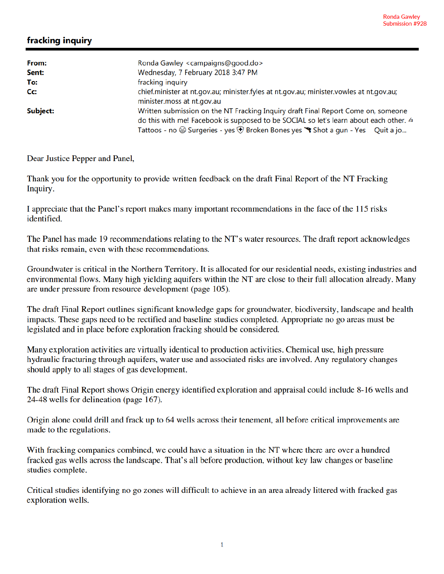## fracking inquiry

| From:    | Ronda Gawley <campaigns@good.do></campaigns@good.do>                                                                  |
|----------|-----------------------------------------------------------------------------------------------------------------------|
| Sent:    | Wednesday, 7 February 2018 3:47 PM                                                                                    |
| To:      | fracking inquiry                                                                                                      |
| Cc:      | chief.minister at nt.gov.au; minister.fyles at nt.gov.au; minister.vowles at nt.gov.au;<br>minister.moss at nt.gov.au |
| Subject: | Written submission on the NT Fracking Inquiry draft Final Report Come on, someone                                     |
|          | do this with me! Facebook is supposed to be SOCIAL so let's learn about each other. 4                                 |
|          | Tattoos - no $\circledast$ Surgeries - yes $\circledast$ Broken Bones yes $\circledast$ Shot a gun - Yes Quit a jo    |

Dear Justice Pepper and Panel,

Thank you for the opportunity to provide written feedback on the draft Final Report of the NT Fracking Inquiry.

I appreciate that the Panel's report makes many important recommendations in the face of the 115 risks identified.

The Panel has made 19 recommendations relating to the NT's water resources. The draft report acknowledges that risks remain, even with these recommendations.

Groundwater is critical in the Northern Territory. It is allocated for our residential needs, existing industries and environmental flows. Many high yielding aquifers within the NT are close to their full allocation already. Many are under pressure from resource development (page 105).

The draft Final Report outlines significant knowledge gaps for groundwater, biodiversity, landscape and health impacts. These gaps need to be rectified and baseline studies completed. Appropriate no go areas must be legislated and in place before exploration fracking should be considered.

Many exploration activities are virtually identical to production activities. Chemical use, high pressure hydraulic fracturing through aquifers, water use and associated risks are involved. Any regulatory changes should apply to all stages of gas development.

The draft Final Report shows Origin energy identified exploration and appraisal could include 8-16 wells and 24-48 wells for delineation (page 167).

Origin alone could drill and frack up to 64 wells across their tenement, all before critical improvements are made to the regulations.

With fracking companies combined, we could have a situation in the NT where there are over a hundred fracked gas wells across the landscape. That's all before production, without key law changes or baseline studies complete.

Critical studies identifying no go zones will difficult to achieve in an area already littered with fracked gas exploration wells.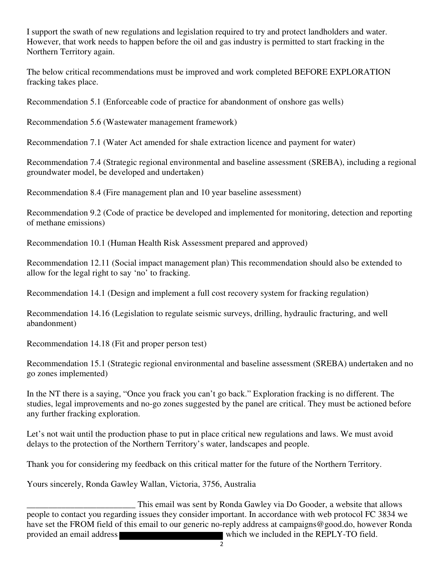I support the swath of new regulations and legislation required to try and protect landholders and water. However, that work needs to happen before the oil and gas industry is permitted to start fracking in the Northern Territory again.

The below critical recommendations must be improved and work completed BEFORE EXPLORATION fracking takes place.

Recommendation 5.1 (Enforceable code of practice for abandonment of onshore gas wells)

Recommendation 5.6 (Wastewater management framework)

Recommendation 7.1 (Water Act amended for shale extraction licence and payment for water)

Recommendation 7.4 (Strategic regional environmental and baseline assessment (SREBA), including a regional groundwater model, be developed and undertaken)

Recommendation 8.4 (Fire management plan and 10 year baseline assessment)

Recommendation 9.2 (Code of practice be developed and implemented for monitoring, detection and reporting of methane emissions)

Recommendation 10.1 (Human Health Risk Assessment prepared and approved)

Recommendation 12.11 (Social impact management plan) This recommendation should also be extended to allow for the legal right to say 'no' to fracking.

Recommendation 14.1 (Design and implement a full cost recovery system for fracking regulation)

Recommendation 14.16 (Legislation to regulate seismic surveys, drilling, hydraulic fracturing, and well abandonment)

Recommendation 14.18 (Fit and proper person test)

Recommendation 15.1 (Strategic regional environmental and baseline assessment (SREBA) undertaken and no go zones implemented)

In the NT there is a saying, "Once you frack you can't go back." Exploration fracking is no different. The studies, legal improvements and no-go zones suggested by the panel are critical. They must be actioned before any further fracking exploration.

Let's not wait until the production phase to put in place critical new regulations and laws. We must avoid delays to the protection of the Northern Territory's water, landscapes and people.

Thank you for considering my feedback on this critical matter for the future of the Northern Territory.

Yours sincerely, Ronda Gawley Wallan, Victoria, 3756, Australia

This email was sent by Ronda Gawley via Do Gooder, a website that allows<br>people to contact you regarding issues they consider important. In accordance with web protocol FC 3834 we have set the FROM field of this email to our generic no-reply address at campaigns@good.do, however Ronda provided an email address which we included in the REPLY-TO field.